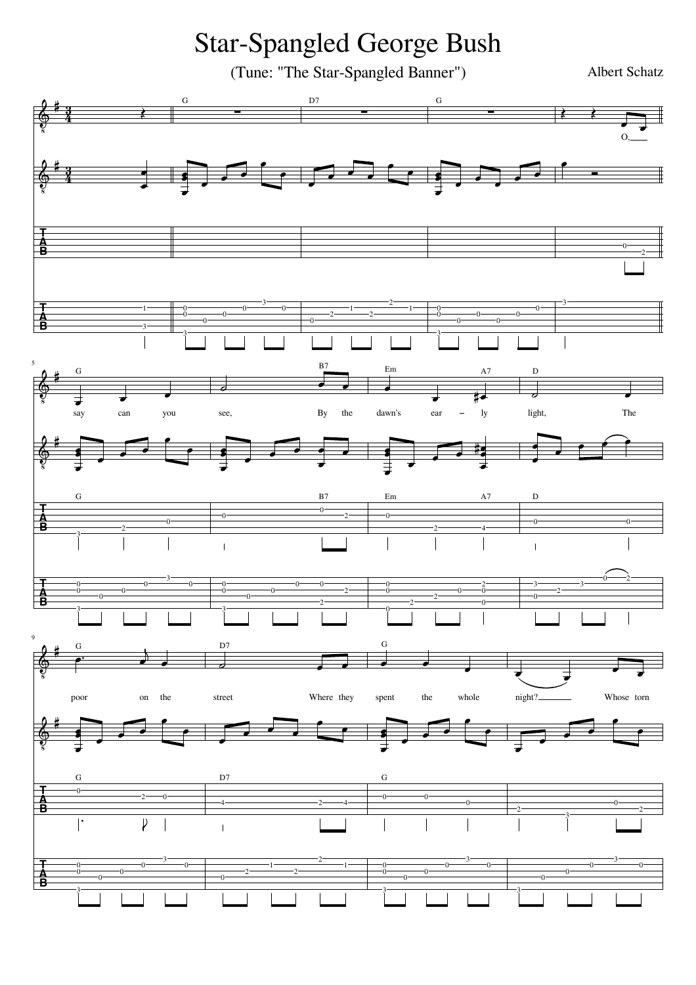Star-Spangled George Bush

(Tune: "The Star-Spangled Banner") Albert Schatz

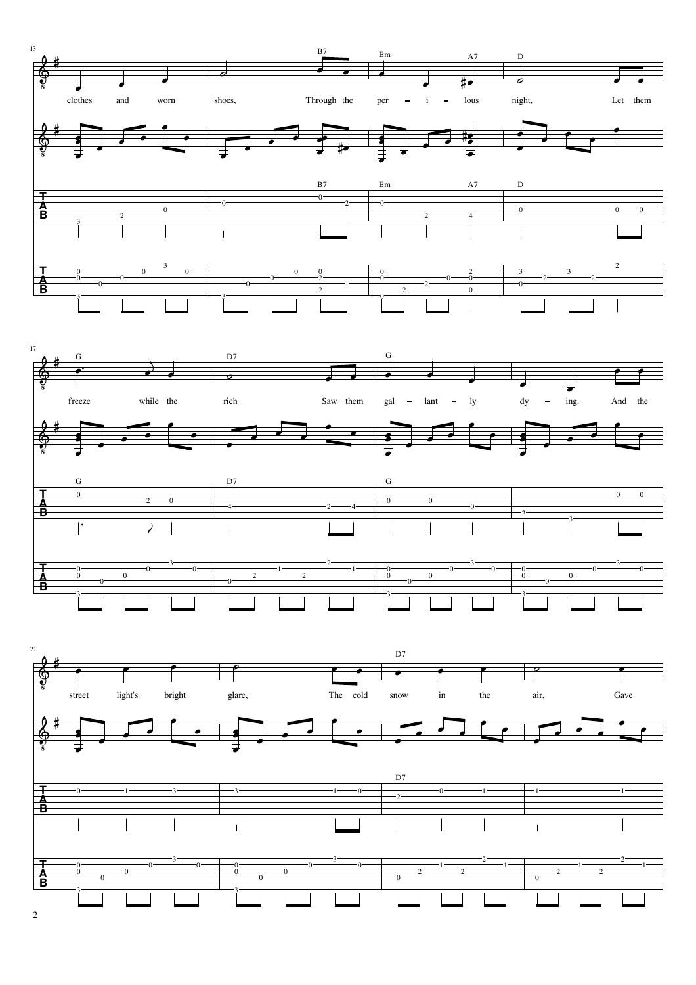

 $\mathcal{L}$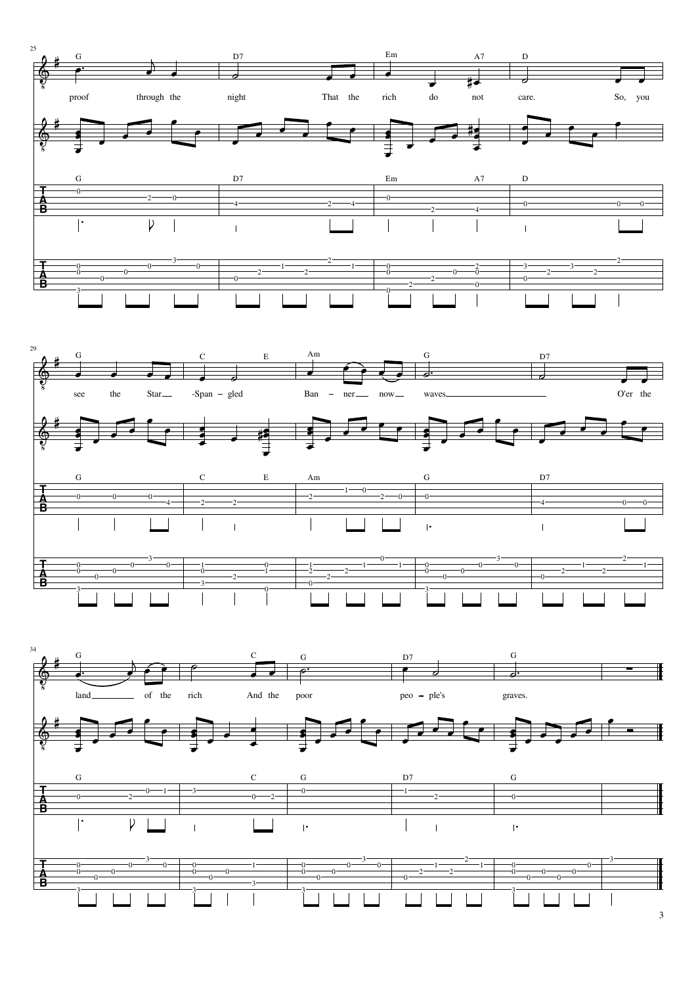

3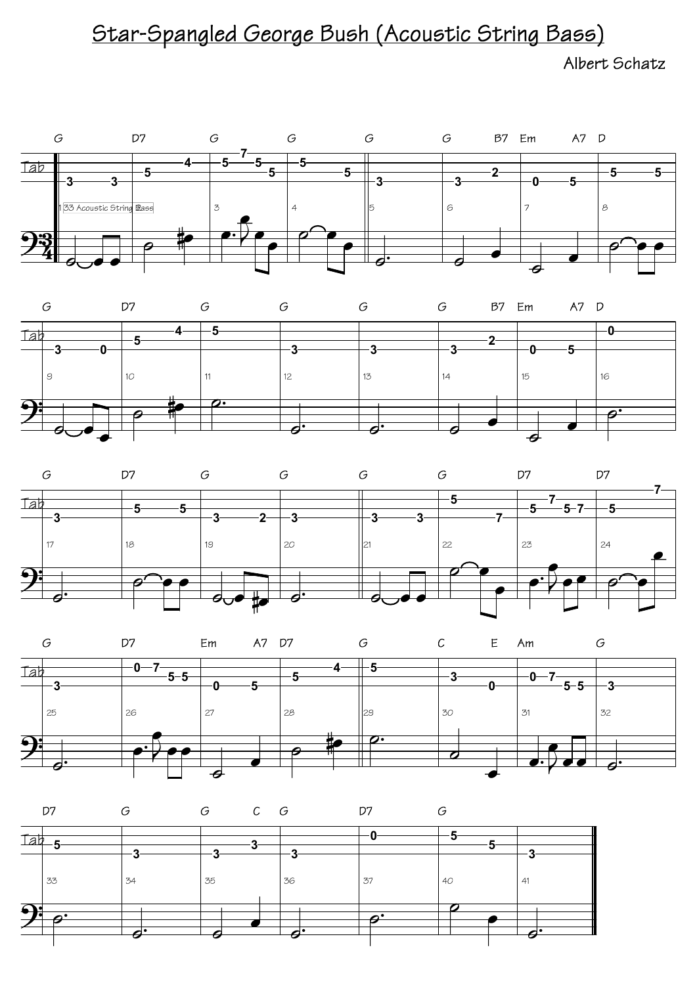## Star-Spangled George Bush (Acoustic String Bass)

Albert Schatz









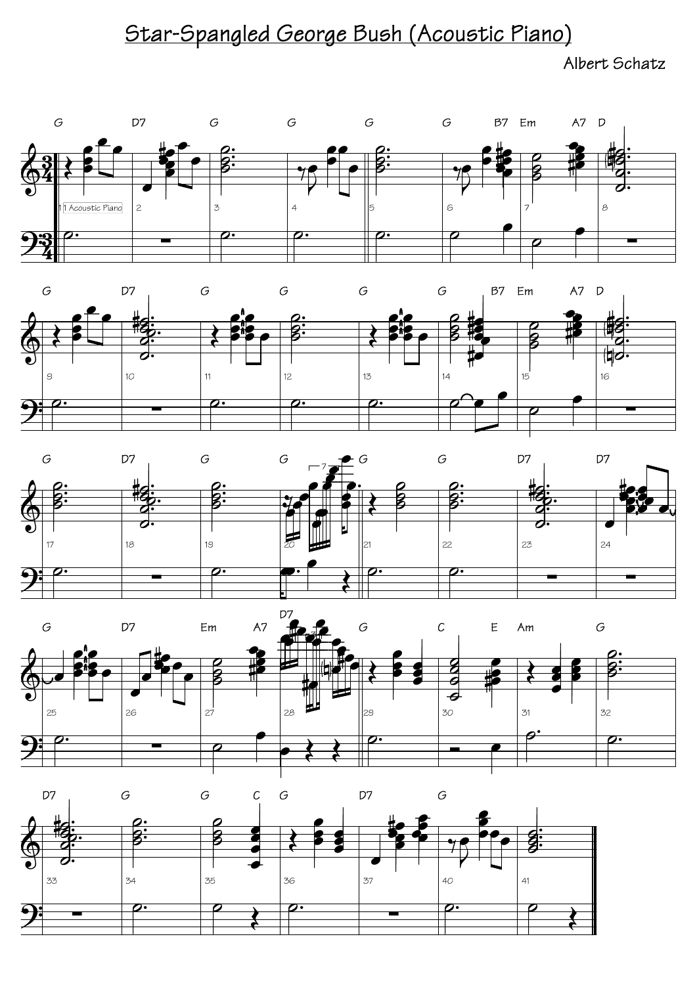## Star-Spangled George Bush (Acoustic Piano)

Albert Schatz